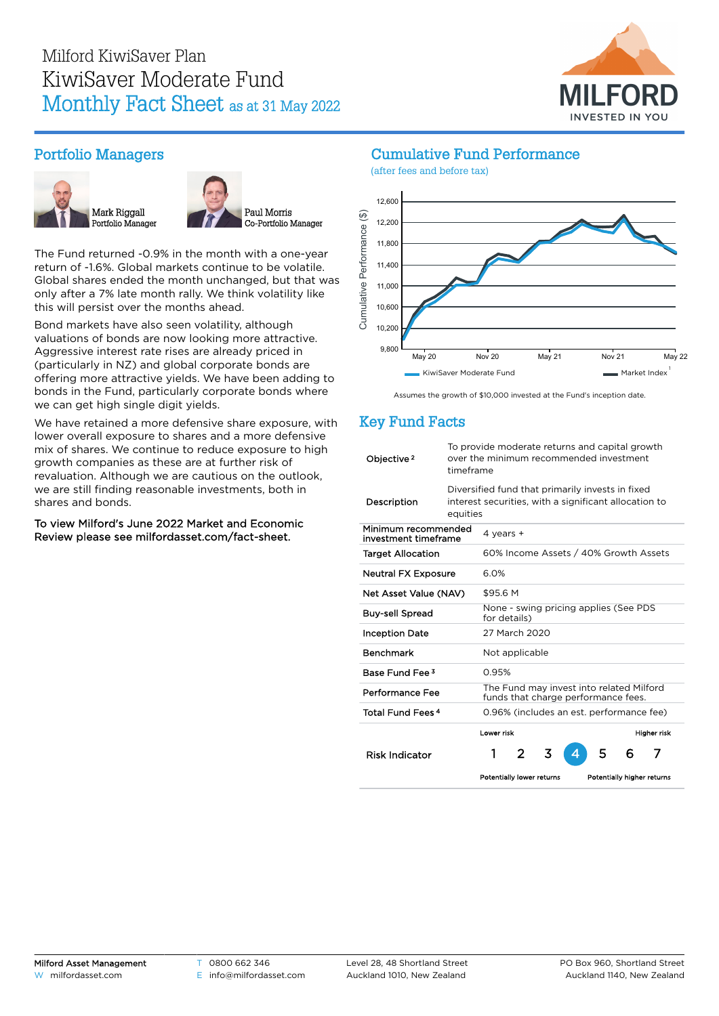

### Portfolio Managers





The Fund returned -0.9% in the month with a one-year return of -1.6%. Global markets continue to be volatile. Global shares ended the month unchanged, but that was only after a 7% late month rally. We think volatility like this will persist over the months ahead.

Bond markets have also seen volatility, although valuations of bonds are now looking more attractive. Aggressive interest rate rises are already priced in (particularly in NZ) and global corporate bonds are offering more attractive yields. We have been adding to bonds in the Fund, particularly corporate bonds where we can get high single digit yields.

We have retained a more defensive share exposure, with lower overall exposure to shares and a more defensive mix of shares. We continue to reduce exposure to high growth companies as these are at further risk of revaluation. Although we are cautious on the outlook, we are still finding reasonable investments, both in shares and bonds.

To view Milford's June 2022 Market and Economic Review please see [milfordasset.com/fact-sheet](https://milfordasset.com/wp-content/uploads/2022/06/Market-and-Economic-Review-June-2022.pdf).

### Cumulative Fund Performance



Assumes the growth of \$10,000 invested at the Fund's inception date.

## Key Fund Facts

| Objective <sup>2</sup>                      | To provide moderate returns and capital growth<br>over the minimum recommended investment<br>timeframe                |                                                       |   |   |  |   |   |                            |  |
|---------------------------------------------|-----------------------------------------------------------------------------------------------------------------------|-------------------------------------------------------|---|---|--|---|---|----------------------------|--|
| Description                                 | Diversified fund that primarily invests in fixed<br>interest securities, with a significant allocation to<br>equities |                                                       |   |   |  |   |   |                            |  |
| Minimum recommended<br>investment timeframe |                                                                                                                       | 4 years $+$                                           |   |   |  |   |   |                            |  |
| <b>Target Allocation</b>                    |                                                                                                                       | 60% Income Assets / 40% Growth Assets                 |   |   |  |   |   |                            |  |
| <b>Neutral FX Exposure</b>                  |                                                                                                                       | 6.0%                                                  |   |   |  |   |   |                            |  |
| Net Asset Value (NAV)                       |                                                                                                                       | \$95.6 M                                              |   |   |  |   |   |                            |  |
| <b>Buy-sell Spread</b>                      |                                                                                                                       | None - swing pricing applies (See PDS<br>for details) |   |   |  |   |   |                            |  |
| <b>Inception Date</b>                       |                                                                                                                       | 27 March 2020                                         |   |   |  |   |   |                            |  |
| <b>Benchmark</b>                            |                                                                                                                       | Not applicable                                        |   |   |  |   |   |                            |  |
| Base Fund Fee 3                             |                                                                                                                       | 0.95%                                                 |   |   |  |   |   |                            |  |
| Performance Fee                             | The Fund may invest into related Milford<br>funds that charge performance fees.                                       |                                                       |   |   |  |   |   |                            |  |
| <b>Total Fund Fees 4</b>                    |                                                                                                                       | 0.96% (includes an est. performance fee)              |   |   |  |   |   |                            |  |
| <b>Risk Indicator</b>                       |                                                                                                                       | Lower risk<br>1                                       | 2 | 3 |  | 5 | 6 | Higher risk<br>7           |  |
|                                             |                                                                                                                       | Potentially lower returns                             |   |   |  |   |   | Potentially higher returns |  |